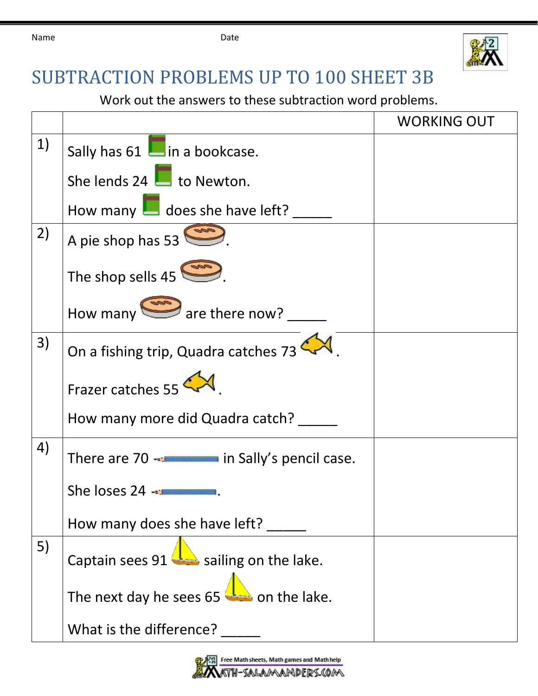

## SUBTRACTION PROBLEMS UP TO 100 SHEET 3B

## Work out the answers to these subtraction word problems.

|    |                                                            | <b>WORKING OUT</b> |
|----|------------------------------------------------------------|--------------------|
| 1) | Sally has $61$ $\blacksquare$ in a bookcase.               |                    |
|    | She lends 24 $\Box$ to Newton.                             |                    |
|    | How many $\Box$ does she have left?                        |                    |
| 2) | A pie shop has 53                                          |                    |
|    | The shop sells $45 \leq$                                   |                    |
|    | How many $\sum$ are there now?                             |                    |
| 3) | On a fishing trip, Quadra catches $73$                     |                    |
|    | Frazer catches 55                                          |                    |
|    | How many more did Quadra catch?                            |                    |
| 4) | There are $70 - 1$ in Sally's pencil case.                 |                    |
|    | She loses 24 -                                             |                    |
|    | How many does she have left?                               |                    |
| 5) | Captain sees 91 $\sum$ sailing on the lake.                |                    |
|    | The next day he sees $65 \rightarrow \bullet$ on the lake. |                    |
|    | What is the difference?                                    |                    |